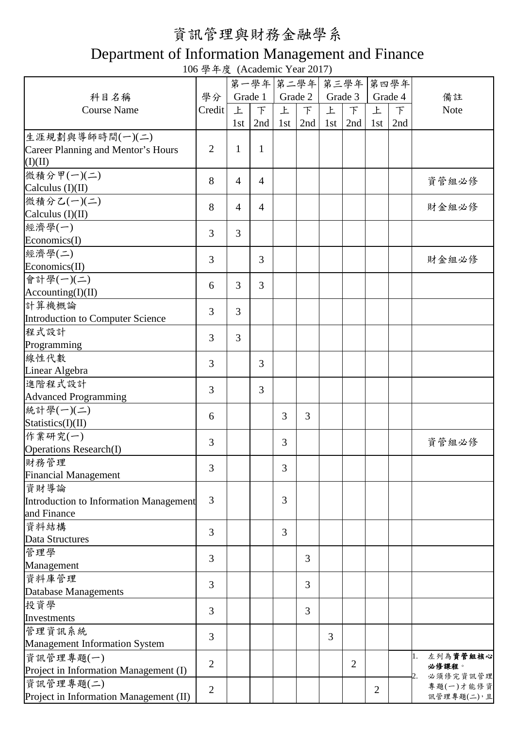## 資訊管理與財務金融學系

## Department of Information Management and Finance

106 學年度 (Academic Year 2017)

|                                         |                |                | 第一學年 第二學年      |     |               |                | 第三學年           |     | 第四學年    |                         |
|-----------------------------------------|----------------|----------------|----------------|-----|---------------|----------------|----------------|-----|---------|-------------------------|
| 科目名稱                                    | 學分             |                | Grade 1        |     | Grade 2       |                | Grade 3        |     | Grade 4 | 備註                      |
| <b>Course Name</b>                      | Credit         | 上              | $\mathcal{F}$  | 上   | $\mathcal{F}$ | 上              | $\top$         | 上   | $\top$  | Note                    |
|                                         |                | 1st            | 2nd            | 1st | 2nd           | 1st            | 2nd            | 1st | 2nd     |                         |
| 生涯規劃與導師時間(一)(二)                         |                |                |                |     |               |                |                |     |         |                         |
| Career Planning and Mentor's Hours      | $\overline{2}$ | $\mathbf{1}$   | $\mathbf{1}$   |     |               |                |                |     |         |                         |
| (I)(II)                                 |                |                |                |     |               |                |                |     |         |                         |
| 微積分甲(一)(二)                              |                |                |                |     |               |                |                |     |         |                         |
| Calculus (I)(II)                        | 8              | $\overline{4}$ | $\overline{4}$ |     |               |                |                |     |         | 資管組必修                   |
| 微積分乙(一)(二)                              |                |                |                |     |               |                |                |     |         |                         |
| Calculus $(I)(II)$                      | 8              | $\overline{4}$ | $\overline{4}$ |     |               |                |                |     |         | 財金組必修                   |
| 經濟學(一)                                  |                |                |                |     |               |                |                |     |         |                         |
| Economics(I)                            | $\overline{3}$ | 3              |                |     |               |                |                |     |         |                         |
| 經濟學(二)                                  |                |                |                |     |               |                |                |     |         |                         |
| Economics(II)                           | $\overline{3}$ |                | 3              |     |               |                |                |     |         | 財金組必修                   |
| 會計學(一)(二)                               |                |                |                |     |               |                |                |     |         |                         |
| According(I)(II)                        | 6              | 3              | $\overline{3}$ |     |               |                |                |     |         |                         |
|                                         |                |                |                |     |               |                |                |     |         |                         |
| 計算機概論                                   | 3              | 3              |                |     |               |                |                |     |         |                         |
| <b>Introduction to Computer Science</b> |                |                |                |     |               |                |                |     |         |                         |
| 程式設計                                    | $\overline{3}$ | 3              |                |     |               |                |                |     |         |                         |
| Programming                             |                |                |                |     |               |                |                |     |         |                         |
| 線性代數                                    | 3              |                | $\overline{3}$ |     |               |                |                |     |         |                         |
| Linear Algebra                          |                |                |                |     |               |                |                |     |         |                         |
| 進階程式設計                                  | 3              |                | 3              |     |               |                |                |     |         |                         |
| <b>Advanced Programming</b>             |                |                |                |     |               |                |                |     |         |                         |
| 統計學(一)(二)                               | 6              |                |                | 3   | 3             |                |                |     |         |                         |
| Statistics(I)(II)                       |                |                |                |     |               |                |                |     |         |                         |
| 作業研究(一)                                 | 3              |                |                | 3   |               |                |                |     |         | 資管組必修                   |
| <b>Operations Research(I)</b>           |                |                |                |     |               |                |                |     |         |                         |
| 財務管理                                    | 3              |                |                | 3   |               |                |                |     |         |                         |
| <b>Financial Management</b>             |                |                |                |     |               |                |                |     |         |                         |
| 資財導論                                    |                |                |                |     |               |                |                |     |         |                         |
| Introduction to Information Management  | $\overline{3}$ |                |                | 3   |               |                |                |     |         |                         |
| and Finance                             |                |                |                |     |               |                |                |     |         |                         |
| 資料結構                                    | 3              |                |                | 3   |               |                |                |     |         |                         |
| Data Structures                         |                |                |                |     |               |                |                |     |         |                         |
| 管理學                                     |                |                |                |     |               |                |                |     |         |                         |
| Management                              | 3              |                |                |     | 3             |                |                |     |         |                         |
| 資料庫管理                                   |                |                |                |     |               |                |                |     |         |                         |
| Database Managements                    | 3              |                |                |     | 3             |                |                |     |         |                         |
| 投資學                                     |                |                |                |     |               |                |                |     |         |                         |
| Investments                             | 3              |                |                |     | 3             |                |                |     |         |                         |
| 管理資訊系統                                  |                |                |                |     |               |                |                |     |         |                         |
| <b>Management Information System</b>    | 3              |                |                |     |               | $\overline{3}$ |                |     |         |                         |
| 資訊管理專題(一)                               |                |                |                |     |               |                |                |     |         | 左列為資管組核心                |
| Project in Information Management (I)   | $\overline{2}$ |                |                |     |               |                | $\overline{2}$ |     |         | 必修課程。                   |
| 資訊管理專題(二)                               |                |                |                |     |               |                |                |     |         | 必須修完資訊管理                |
| Project in Information Management (II)  | $\mathbf{2}$   |                |                |     |               |                |                | 2   |         | 專題(一)才能修資<br>訊管理專題(二),且 |
|                                         |                |                |                |     |               |                |                |     |         |                         |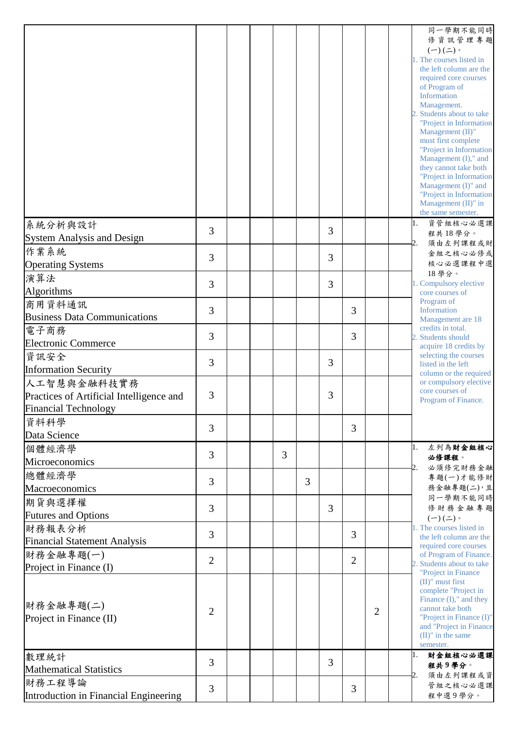|                                            |                |  |   |   |                |                |                |  | 同一學期不能同時<br>修資訊管理專題<br>$(-)(\rightharpoonup)$ .<br>1. The courses listed in<br>the left column are the<br>required core courses<br>of Program of<br>Information<br>Management.<br>2. Students about to take                                                              |
|--------------------------------------------|----------------|--|---|---|----------------|----------------|----------------|--|--------------------------------------------------------------------------------------------------------------------------------------------------------------------------------------------------------------------------------------------------------------------------|
|                                            |                |  |   |   |                |                |                |  | "Project in Information<br>Management (II)"<br>must first complete<br>"Project in Information<br>Management (I)," and<br>they cannot take both<br>"Project in Information<br>Management (I)" and<br>"Project in Information<br>Management (II)" in<br>the same semester. |
| 系統分析與設計                                    | 3              |  |   |   | 3              |                |                |  | 資管組核心必選課<br>1.<br>程共18學分。                                                                                                                                                                                                                                                |
| <b>System Analysis and Design</b><br>作業系統  |                |  |   |   |                |                |                |  | 須由左列課程或財<br>2.                                                                                                                                                                                                                                                           |
| <b>Operating Systems</b>                   | 3              |  |   |   | 3              |                |                |  | 金組之核心必修或<br>核心必選課程中選                                                                                                                                                                                                                                                     |
| 演算法                                        |                |  |   |   |                |                |                |  | 18學分。                                                                                                                                                                                                                                                                    |
| Algorithms                                 | 3              |  |   |   | 3              |                |                |  | 1. Compulsory elective<br>core courses of<br>Program of<br>Information<br>Management are 18<br>credits in total.<br>2. Students should<br>acquire 18 credits by<br>selecting the courses<br>listed in the left                                                           |
| 商用資料通訊                                     | 3              |  |   |   |                | 3              |                |  |                                                                                                                                                                                                                                                                          |
| <b>Business Data Communications</b>        |                |  |   |   |                |                |                |  |                                                                                                                                                                                                                                                                          |
| 電子商務                                       | 3              |  |   |   |                | 3              |                |  |                                                                                                                                                                                                                                                                          |
| <b>Electronic Commerce</b>                 |                |  |   |   |                |                |                |  |                                                                                                                                                                                                                                                                          |
| 資訊安全                                       | 3              |  |   |   | 3              |                |                |  |                                                                                                                                                                                                                                                                          |
| <b>Information Security</b><br>人工智慧與金融科技實務 |                |  |   |   |                |                |                |  | column or the required<br>or compulsory elective                                                                                                                                                                                                                         |
| Practices of Artificial Intelligence and   | 3              |  |   |   | 3              |                |                |  | core courses of<br>Program of Finance.                                                                                                                                                                                                                                   |
| <b>Financial Technology</b>                |                |  |   |   |                |                |                |  |                                                                                                                                                                                                                                                                          |
| 資料科學                                       | 3              |  |   |   |                | 3              |                |  |                                                                                                                                                                                                                                                                          |
| Data Science                               |                |  |   |   |                |                |                |  |                                                                                                                                                                                                                                                                          |
| 個體經濟學                                      | 3              |  | 3 |   |                |                |                |  | 左列為財金組核心<br>1.<br>必修課程。                                                                                                                                                                                                                                                  |
| Microeconomics                             |                |  |   |   |                |                |                |  | 必須修完財務金融                                                                                                                                                                                                                                                                 |
| 總體經濟學                                      | 3              |  |   | 3 |                |                |                |  | 專題(一)才能修財<br>務金融專題(二),且                                                                                                                                                                                                                                                  |
| Macroeconomics                             |                |  |   |   |                |                |                |  | 同一學期不能同時                                                                                                                                                                                                                                                                 |
| 期貨與選擇權<br><b>Futures and Options</b>       | 3              |  |   |   | $\overline{3}$ |                |                |  | 修財務金融專題                                                                                                                                                                                                                                                                  |
| 財務報表分析                                     |                |  |   |   |                |                |                |  | $(-)(\rightharpoonup)$ 。<br>1. The courses listed in                                                                                                                                                                                                                     |
| <b>Financial Statement Analysis</b>        | 3              |  |   |   |                | 3              |                |  | the left column are the                                                                                                                                                                                                                                                  |
| 財務金融專題(一)                                  |                |  |   |   |                |                |                |  | required core courses<br>of Program of Finance.                                                                                                                                                                                                                          |
| Project in Finance (I)                     | $\overline{2}$ |  |   |   |                | $\overline{2}$ |                |  | 2. Students about to take                                                                                                                                                                                                                                                |
|                                            |                |  |   |   |                |                |                |  | "Project in Finance<br>$(II)$ " must first                                                                                                                                                                                                                               |
| 財務金融專題(二)<br>Project in Finance (II)       | $\overline{2}$ |  |   |   |                |                | $\overline{2}$ |  | complete "Project in<br>Finance $(I)$ ," and they<br>cannot take both<br>"Project in Finance (I)"<br>and "Project in Finance<br>$(II)$ " in the same                                                                                                                     |
|                                            |                |  |   |   |                |                |                |  | semester.                                                                                                                                                                                                                                                                |
| 數理統計                                       | 3              |  |   |   | 3              |                |                |  | 財金組核心必選課<br>1.<br>程共9學分。<br>須由左列課程或資<br>2.<br>管組之核心必選課                                                                                                                                                                                                                   |
| <b>Mathematical Statistics</b>             |                |  |   |   |                |                |                |  |                                                                                                                                                                                                                                                                          |
| 財務工程導論                                     | 3              |  |   |   |                | 3              |                |  |                                                                                                                                                                                                                                                                          |
| Introduction in Financial Engineering      |                |  |   |   |                |                |                |  | 程中選9學分。                                                                                                                                                                                                                                                                  |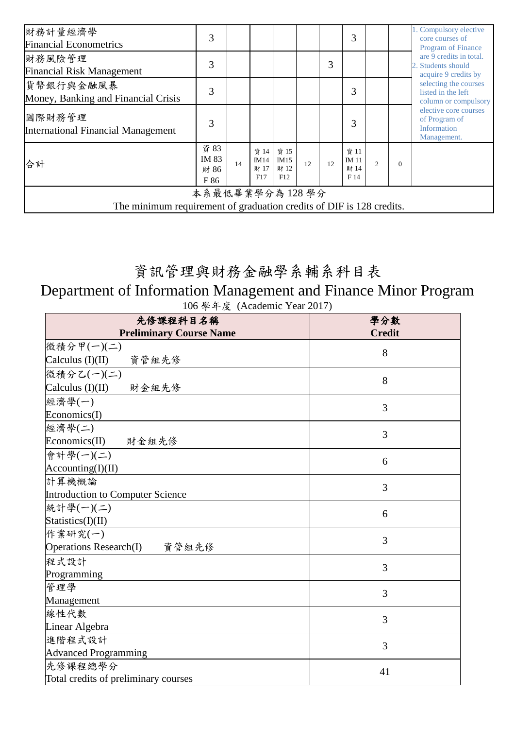| 財務計量經濟學<br><b>Financial Econometrics</b>                                               | 3                             |    |                             |                             |    |    | 3                             |                |          | 1. Compulsory elective<br>core courses of<br><b>Program of Finance</b>                                                                                                                                                      |
|----------------------------------------------------------------------------------------|-------------------------------|----|-----------------------------|-----------------------------|----|----|-------------------------------|----------------|----------|-----------------------------------------------------------------------------------------------------------------------------------------------------------------------------------------------------------------------------|
| 財務風險管理<br><b>Financial Risk Management</b>                                             | 3                             |    |                             |                             |    | 3  |                               |                |          | are 9 credits in total.<br>2. Students should<br>acquire 9 credits by<br>selecting the courses<br>listed in the left<br>column or compulsory<br>elective core courses<br>of Program of<br><b>Information</b><br>Management. |
| 貨幣銀行與金融風暴<br>Money, Banking and Financial Crisis                                       | 3                             |    |                             |                             |    |    | 3                             |                |          |                                                                                                                                                                                                                             |
| 國際財務管理<br><b>International Financial Management</b>                                    | 3                             |    |                             |                             |    |    | 3                             |                |          |                                                                                                                                                                                                                             |
| 合計                                                                                     | 資 83<br>IM 83<br>財 86<br>F 86 | 14 | 資 14<br>IM14<br>財 17<br>F17 | 資 15<br>IM15<br>財 12<br>F12 | 12 | 12 | 資 11<br>IM 11<br>財 14<br>F 14 | $\overline{c}$ | $\Omega$ |                                                                                                                                                                                                                             |
| 本系最低畢業學分為128學分<br>The minimum requirement of graduation credits of DIF is 128 credits. |                               |    |                             |                             |    |    |                               |                |          |                                                                                                                                                                                                                             |

## 資訊管理與財務金融學系輔系科目表

## Department of Information Management and Finance Minor Program 106 學年度 (Academic Year 2017)

| 先修課程科目名稱                               | 學分數            |
|----------------------------------------|----------------|
| <b>Preliminary Course Name</b>         | <b>Credit</b>  |
| 微積分甲(一)(二)                             | 8              |
| 資管組先修<br>Calculus $(I)(II)$            |                |
| 微積分乙(一)(二)                             | 8              |
| Calculus (I)(II) 財金組先修                 |                |
| 經濟學(一)                                 | $\overline{3}$ |
| Economics(I)                           |                |
| 經濟學(二)                                 | 3              |
| Economics(II)<br>財金組先修                 |                |
| 會計學(一)(二)                              | 6              |
| According(I)(II)                       |                |
| 計算機概論                                  | 3              |
| Introduction to Computer Science       |                |
| 統計學(一)(二)                              | 6              |
| Statistics(I)(II)                      |                |
| 作業研究(一)                                | 3              |
| <b>Operations Research(I)</b><br>資管組先修 |                |
| 程式設計                                   | 3              |
| Programming                            |                |
| 管理學                                    | 3              |
| Management                             |                |
| 線性代數                                   | 3              |
| Linear Algebra                         |                |
| 進階程式設計                                 | 3              |
| <b>Advanced Programming</b>            |                |
| 先修課程總學分                                | 41             |
| Total credits of preliminary courses   |                |